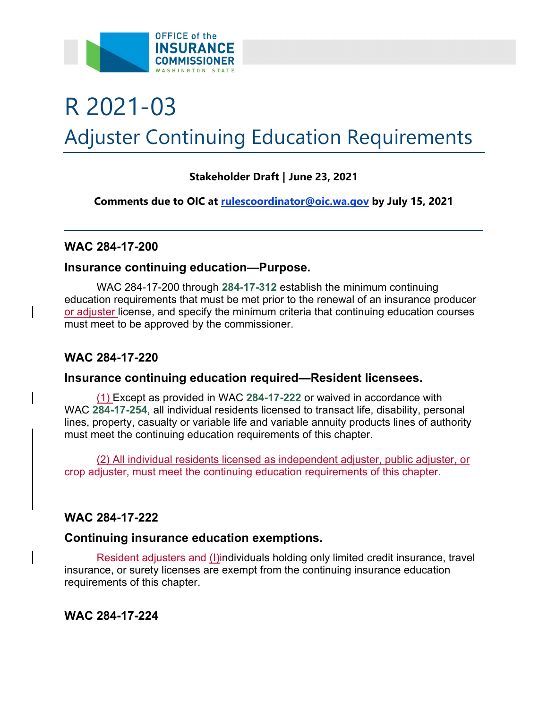

# R 2021-03 Adjuster Continuing Education Requirements

# **Stakeholder Draft | June 23, 2021**

**Comments due to OIC at [rulescoordinator@oic.wa.gov](mailto:rulescoordinator@oic.wa.gov) by July 15, 2021** 

## **WAC 284-17-200**

## **Insurance continuing education—Purpose.**

WAC 284-17-200 through **284-17-312** establish the minimum continuing education requirements that must be met prior to the renewal of an insurance producer or adjuster license, and specify the minimum criteria that continuing education courses must meet to be approved by the commissioner.

# **WAC 284-17-220**

## **Insurance continuing education required—Resident licensees.**

must meet the continuing education requirements of this chapter. (1) Except as provided in WAC **284-17-222** or waived in accordance with WAC **284-17-254**, all individual residents licensed to transact life, disability, personal lines, property, casualty or variable life and variable annuity products lines of authority

(2) All individual residents licensed as independent adjuster, public adjuster, or crop adjuster, must meet the continuing education requirements of this chapter.

# **WAC 284-17-222**

## **Continuing insurance education exemptions.**

Resident adjusters and (I)individuals holding only limited credit insurance, travel insurance, or surety licenses are exempt from the continuing insurance education requirements of this chapter.

**WAC 284-17-224**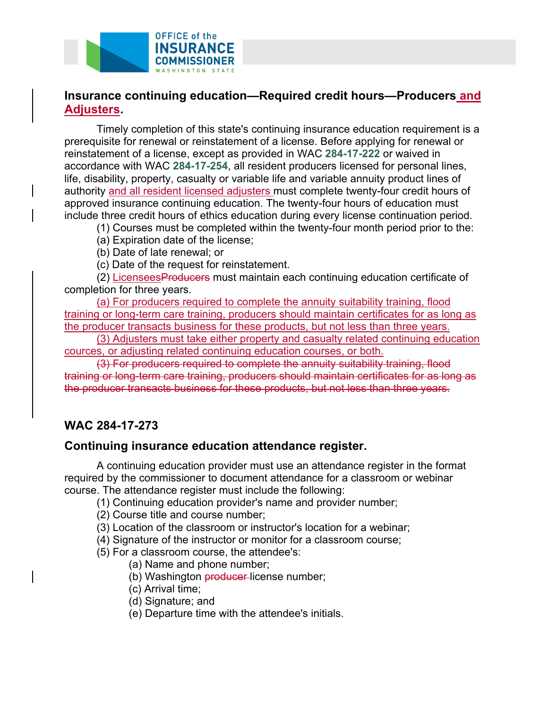

# **Insurance continuing education—Required credit hours—Producers and Adjusters.**

Timely completion of this state's continuing insurance education requirement is a prerequisite for renewal or reinstatement of a license. Before applying for renewal or reinstatement of a license, except as provided in WAC **284-17-222** or waived in accordance with WAC **284-17-254**, all resident producers licensed for personal lines, life, disability, property, casualty or variable life and variable annuity product lines of authority and all resident licensed adjusters must complete twenty-four credit hours of approved insurance continuing education. The twenty-four hours of education must include three credit hours of ethics education during every license continuation period.

(1) Courses must be completed within the twenty-four month period prior to the:

- (a) Expiration date of the license;
- (b) Date of late renewal; or
- (c) Date of the request for reinstatement.

(2) LicenseesProducers must maintain each continuing education certificate of completion for three years.

(a) For producers required to complete the annuity suitability training, flood training or long-term care training, producers should maintain certificates for as long as the producer transacts business for these products, but not less than three years.

(3) Adjusters must take either property and casualty related continuing education cources, or adjusting related continuing education courses, or both.

(3) For producers required to complete the annuity suitability training, flood training or long-term care training, producers should maintain certificates for as long as the producer transacts business for these products, but not less than three years.

# **WAC 284-17-273**

## **Continuing insurance education attendance register.**

A continuing education provider must use an attendance register in the format required by the commissioner to document attendance for a classroom or webinar course. The attendance register must include the following:

(1) Continuing education provider's name and provider number;

(2) Course title and course number;

- (3) Location of the classroom or instructor's location for a webinar;
- (4) Signature of the instructor or monitor for a classroom course;
- (5) For a classroom course, the attendee's:
	- (a) Name and phone number;
	- (b) Washington **producer**-license number;
	- (c) Arrival time;
	- (d) Signature; and
	- (e) Departure time with the attendee's initials.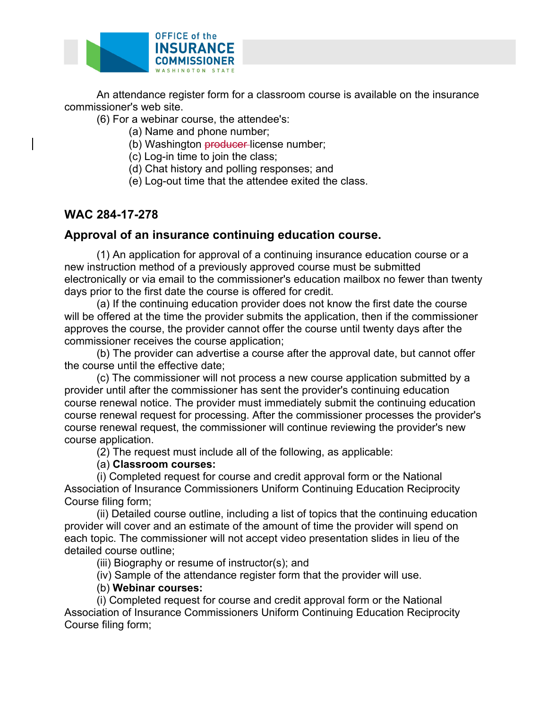

An attendance register form for a classroom course is available on the insurance commissioner's web site.

(6) For a webinar course, the attendee's:

- (a) Name and phone number;
- (b) Washington **producer**-license number;
- (c) Log-in time to join the class;
- (d) Chat history and polling responses; and
- (e) Log-out time that the attendee exited the class.

# **WAC 284-17-278**

## **Approval of an insurance continuing education course.**

(1) An application for approval of a continuing insurance education course or a new instruction method of a previously approved course must be submitted electronically or via email to the commissioner's education mailbox no fewer than twenty days prior to the first date the course is offered for credit.

(a) If the continuing education provider does not know the first date the course will be offered at the time the provider submits the application, then if the commissioner approves the course, the provider cannot offer the course until twenty days after the commissioner receives the course application;

(b) The provider can advertise a course after the approval date, but cannot offer the course until the effective date;

(c) The commissioner will not process a new course application submitted by a provider until after the commissioner has sent the provider's continuing education course renewal notice. The provider must immediately submit the continuing education course renewal request for processing. After the commissioner processes the provider's course renewal request, the commissioner will continue reviewing the provider's new course application.

(2) The request must include all of the following, as applicable:

#### (a) **Classroom courses:**

(i) Completed request for course and credit approval form or the National Association of Insurance Commissioners Uniform Continuing Education Reciprocity Course filing form;

(ii) Detailed course outline, including a list of topics that the continuing education provider will cover and an estimate of the amount of time the provider will spend on each topic. The commissioner will not accept video presentation slides in lieu of the detailed course outline;

(iii) Biography or resume of instructor(s); and

(iv) Sample of the attendance register form that the provider will use.

#### (b) **Webinar courses:**

(i) Completed request for course and credit approval form or the National Association of Insurance Commissioners Uniform Continuing Education Reciprocity Course filing form;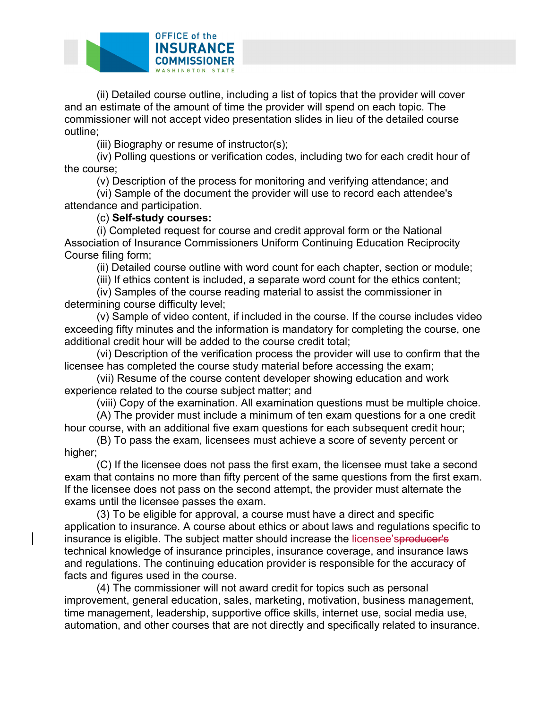

(ii) Detailed course outline, including a list of topics that the provider will cover and an estimate of the amount of time the provider will spend on each topic. The commissioner will not accept video presentation slides in lieu of the detailed course outline;

(iii) Biography or resume of instructor(s);

(iv) Polling questions or verification codes, including two for each credit hour of the course;

(v) Description of the process for monitoring and verifying attendance; and

(vi) Sample of the document the provider will use to record each attendee's attendance and participation.

#### (c) **Self-study courses:**

(i) Completed request for course and credit approval form or the National Association of Insurance Commissioners Uniform Continuing Education Reciprocity Course filing form;

(ii) Detailed course outline with word count for each chapter, section or module;

(iii) If ethics content is included, a separate word count for the ethics content;

(iv) Samples of the course reading material to assist the commissioner in determining course difficulty level;

(v) Sample of video content, if included in the course. If the course includes video exceeding fifty minutes and the information is mandatory for completing the course, one additional credit hour will be added to the course credit total;

(vi) Description of the verification process the provider will use to confirm that the licensee has completed the course study material before accessing the exam;

(vii) Resume of the course content developer showing education and work experience related to the course subject matter; and

(viii) Copy of the examination. All examination questions must be multiple choice.

(A) The provider must include a minimum of ten exam questions for a one credit hour course, with an additional five exam questions for each subsequent credit hour;

(B) To pass the exam, licensees must achieve a score of seventy percent or higher;

(C) If the licensee does not pass the first exam, the licensee must take a second exam that contains no more than fifty percent of the same questions from the first exam. If the licensee does not pass on the second attempt, the provider must alternate the exams until the licensee passes the exam.

(3) To be eligible for approval, a course must have a direct and specific application to insurance. A course about ethics or about laws and regulations specific to insurance is eligible. The subject matter should increase the licensee'sproducer's technical knowledge of insurance principles, insurance coverage, and insurance laws and regulations. The continuing education provider is responsible for the accuracy of facts and figures used in the course.

(4) The commissioner will not award credit for topics such as personal improvement, general education, sales, marketing, motivation, business management, time management, leadership, supportive office skills, internet use, social media use, automation, and other courses that are not directly and specifically related to insurance.